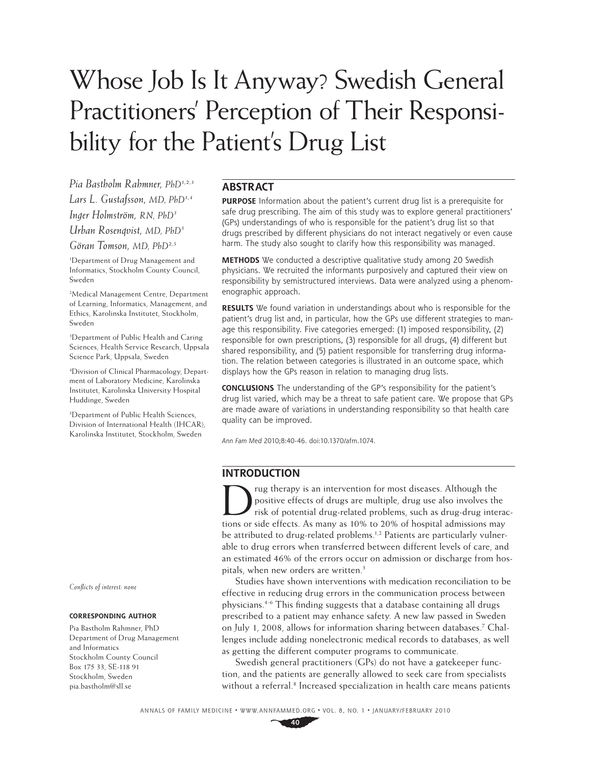# Whose Job Is It Anyway? Swedish General Practitioners' Perception of Their Responsibility for the Patient's Drug List

*Pia Bastholm Rahmner, PhD1,2,3 Lars L. Gustafsson, MD, PhD1,4 Inger Holmström, RN, PhD3 Urban Rosenqvist, MD, PhD3 Göran Tomson, MD, PhD2,5*

1 Department of Drug Management and Informatics, Stockholm County Council, Sweden

2 Medical Management Centre, Department of Learning, Informatics, Management, and Ethics, Karolinska Institutet, Stockholm, Sweden

3 Department of Public Health and Caring Sciences, Health Service Research, Uppsala Science Park, Uppsala, Sweden

4 Division of Clinical Pharmacology, Department of Laboratory Medicine, Karolinska Institutet, Karolinska University Hospital Huddinge, Sweden

5 Department of Public Health Sciences, Division of International Health (IHCAR), Karolinska Institutet, Stockholm, Sweden

*Confl icts of interest: none*

#### **CORRESPONDING AUTHOR**

Pia Bastholm Rahmner, PhD Department of Drug Management and Informatics Stockholm County Council Box 175 33, SE-118 91 Stockholm, Sweden pia.bastholm@sll.se

## **ABSTRACT**

**PURPOSE** Information about the patient's current drug list is a prerequisite for safe drug prescribing. The aim of this study was to explore general practitioners' (GPs) understandings of who is responsible for the patient's drug list so that drugs prescribed by different physicians do not interact negatively or even cause harm. The study also sought to clarify how this responsibility was managed.

**METHODS** We conducted a descriptive qualitative study among 20 Swedish physicians. We recruited the informants purposively and captured their view on responsibility by semistructured interviews. Data were analyzed using a phenomenographic approach.

**RESULTS** We found variation in understandings about who is responsible for the patient's drug list and, in particular, how the GPs use different strategies to manage this responsibility. Five categories emerged: (1) imposed responsibility, (2) responsible for own prescriptions, (3) responsible for all drugs, (4) different but shared responsibility, and (5) patient responsible for transferring drug information. The relation between categories is illustrated in an outcome space, which displays how the GPs reason in relation to managing drug lists.

**CONCLUSIONS** The understanding of the GP's responsibility for the patient's drug list varied, which may be a threat to safe patient care. We propose that GPs are made aware of variations in understanding responsibility so that health care quality can be improved.

Ann Fam Med 2010;8:40-46. doi:10.1370/afm.1074.

## **INTRODUCTION**

The positive effects of drugs are multiple, drug use also involves the risk of potential drug-related problems, such as drug-drug inter-<br>tions on side offects. As many se 10% to 20% of bosnital admissions may positive effects of drugs are multiple, drug use also involves the risk of potential drug-related problems, such as drug-drug interactions or side effects. As many as 10% to 20% of hospital admissions may be attributed to drug-related problems.<sup>1,2</sup> Patients are particularly vulnerable to drug errors when transferred between different levels of care, and an estimated 46% of the errors occur on admission or discharge from hospitals, when new orders are written.<sup>3</sup>

Studies have shown interventions with medication reconciliation to be effective in reducing drug errors in the communication process between physicians.<sup>4-6</sup> This finding suggests that a database containing all drugs prescribed to a patient may enhance safety. A new law passed in Sweden on July 1, 2008, allows for information sharing between databases.7 Challenges include adding nonelectronic medical records to databases, as well as getting the different computer programs to communicate.

Swedish general practitioners (GPs) do not have a gatekeeper function, and the patients are generally allowed to seek care from specialists without a referral.<sup>8</sup> Increased specialization in health care means patients

ANNALS OF FAMILY MEDICINE ✦ WWW.ANNFAMMED.ORG ✦ VOL. 8, NO. 1 ✦ JANUARY/FEBRUARY 2010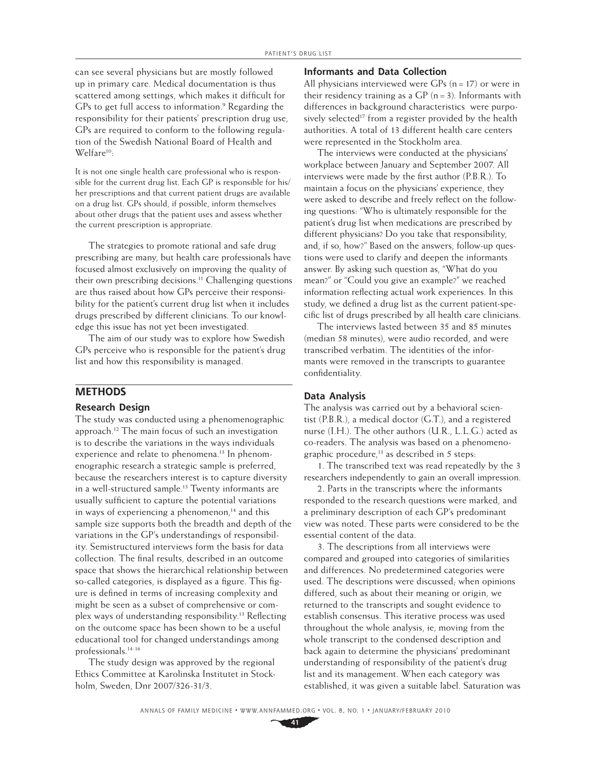can see several physicians but are mostly followed up in primary care. Medical documentation is thus scattered among settings, which makes it difficult for GPs to get full access to information.<sup>9</sup> Regarding the responsibility for their patients' prescription drug use, GPs are required to conform to the following regulation of the Swedish National Board of Health and Welfare<sup>10</sup>:

It is not one single health care professional who is responsible for the current drug list. Each GP is responsible for his/ her prescriptions and that current patient drugs are available on a drug list. GPs should, if possible, inform themselves about other drugs that the patient uses and assess whether the current prescription is appropriate.

The strategies to promote rational and safe drug prescribing are many, but health care professionals have focused almost exclusively on improving the quality of their own prescribing decisions.<sup>11</sup> Challenging questions are thus raised about how GPs perceive their responsibility for the patient's current drug list when it includes drugs prescribed by different clinicians. To our knowledge this issue has not yet been investigated.

The aim of our study was to explore how Swedish GPs perceive who is responsible for the patient's drug list and how this responsibility is managed.

## **METHODS**

## **Research Design**

The study was conducted using a phenomenographic approach.12 The main focus of such an investigation is to describe the variations in the ways individuals experience and relate to phenomena.<sup>13</sup> In phenomenographic research a strategic sample is preferred, because the researchers interest is to capture diversity in a well-structured sample.<sup>13</sup> Twenty informants are usually sufficient to capture the potential variations in ways of experiencing a phenomenon, $14$  and this sample size supports both the breadth and depth of the variations in the GP's understandings of responsibility. Semistructured interviews form the basis for data collection. The final results, described in an outcome space that shows the hierarchical relationship between so-called categories, is displayed as a figure. This figure is defined in terms of increasing complexity and might be seen as a subset of comprehensive or complex ways of understanding responsibility.<sup>13</sup> Reflecting on the outcome space has been shown to be a useful educational tool for changed understandings among professionals.14-16

The study design was approved by the regional Ethics Committee at Karolinska Institutet in Stockholm, Sweden, Dnr 2007/326-31/3.

#### **Informants and Data Collection**

All physicians interviewed were  $\text{GP}_s$  (n = 17) or were in their residency training as a  $GP$  (n = 3). Informants with differences in background characteristics were purposively selected<sup>17</sup> from a register provided by the health authorities. A total of 13 different health care centers were represented in the Stockholm area.

The interviews were conducted at the physicians' workplace between January and September 2007. All interviews were made by the first author (P.B.R.). To maintain a focus on the physicians' experience, they were asked to describe and freely reflect on the following questions: "Who is ultimately responsible for the patient's drug list when medications are prescribed by different physicians? Do you take that responsibility, and, if so, how?" Based on the answers, follow-up questions were used to clarify and deepen the informants answer. By asking such question as, "What do you mean?" or "Could you give an example?" we reached information reflecting actual work experiences. In this study, we defined a drug list as the current patient-specific list of drugs prescribed by all health care clinicians.

The interviews lasted between 35 and 85 minutes (median 58 minutes), were audio recorded, and were transcribed verbatim. The identities of the informants were removed in the transcripts to guarantee confidentiality.

#### **Data Analysis**

The analysis was carried out by a behavioral scientist (P.B.R.), a medical doctor (G.T.), and a registered nurse (I.H.). The other authors (U.R., L.L.G.) acted as co-readers. The analysis was based on a phenomenographic procedure,<sup>13</sup> as described in 5 steps:

1. The transcribed text was read repeatedly by the 3 researchers independently to gain an overall impression.

2. Parts in the transcripts where the informants responded to the research questions were marked, and a preliminary description of each GP's predominant view was noted. These parts were considered to be the essential content of the data.

3. The descriptions from all interviews were compared and grouped into categories of similarities and differences. No predetermined categories were used. The descriptions were discussed; when opinions differed, such as about their meaning or origin, we returned to the transcripts and sought evidence to establish consensus. This iterative process was used throughout the whole analysis, ie, moving from the whole transcript to the condensed description and back again to determine the physicians' predominant understanding of responsibility of the patient's drug list and its management. When each category was established, it was given a suitable label. Saturation was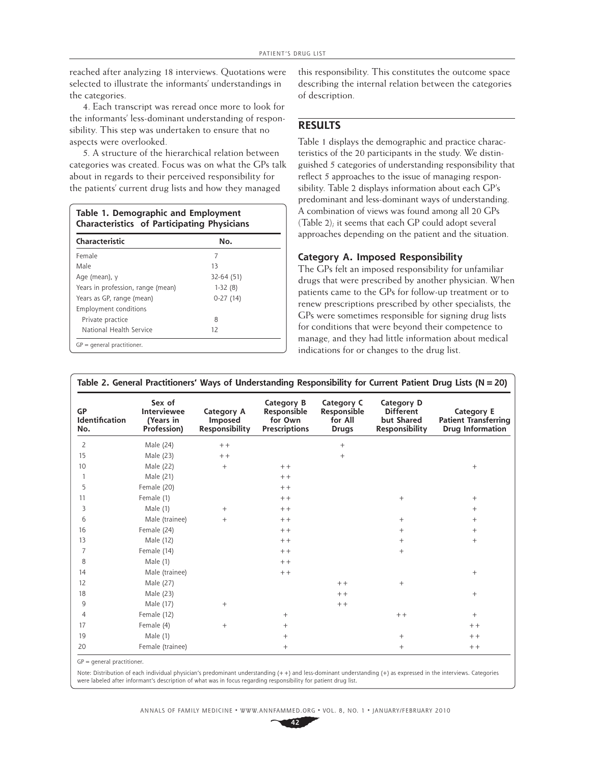reached after analyzing 18 interviews. Quotations were selected to illustrate the informants' understandings in the categories.

4. Each transcript was reread once more to look for the informants' less-dominant understanding of responsibility. This step was undertaken to ensure that no aspects were overlooked.

5. A structure of the hierarchical relation between categories was created. Focus was on what the GPs talk about in regards to their perceived responsibility for the patients' current drug lists and how they managed

| Table T. Demographic and Employment<br><b>Characteristics of Participating Physicians</b> |             |  |  |  |
|-------------------------------------------------------------------------------------------|-------------|--|--|--|
| Characteristic                                                                            | No.         |  |  |  |
| Female                                                                                    |             |  |  |  |
| Male                                                                                      | 13          |  |  |  |
| Age (mean), y                                                                             | $32-64(51)$ |  |  |  |
| Years in profession, range (mean)                                                         | $1-32(8)$   |  |  |  |

Years as GP, range (mean) 0-27 (14)

Private practice 8 National Health Service 12

Employment conditions

GP = general practitioner.

**Table 1. Demographic and Employment** 

this responsibility. This constitutes the outcome space describing the internal relation between the categories of description.

# **RESULTS**

Table 1 displays the demographic and practice characteristics of the 20 participants in the study. We distinguished 5 categories of understanding responsibility that reflect 5 approaches to the issue of managing responsibility. Table 2 displays information about each GP's predominant and less-dominant ways of understanding. A combination of views was found among all 20 GPs (Table 2); it seems that each GP could adopt several approaches depending on the patient and the situation.

## **Category A. Imposed Responsibility**

The GPs felt an imposed responsibility for unfamiliar drugs that were prescribed by another physician. When patients came to the GPs for follow-up treatment or to renew prescriptions prescribed by other specialists, the GPs were sometimes responsible for signing drug lists for conditions that were beyond their competence to manage, and they had little information about medical indications for or changes to the drug list.

| GP<br>Identification<br>No. | Sex of<br><b>Interviewee</b><br>(Years in<br>Profession) | Category A<br>Imposed<br>Responsibility | Category B<br>Responsible<br>for Own<br><b>Prescriptions</b> | Category C<br>Responsible<br>for All<br><b>Drugs</b> | <b>Category D</b><br><b>Different</b><br>but Shared<br><b>Responsibility</b> | Category E<br><b>Patient Transferring</b><br><b>Drug Information</b> |
|-----------------------------|----------------------------------------------------------|-----------------------------------------|--------------------------------------------------------------|------------------------------------------------------|------------------------------------------------------------------------------|----------------------------------------------------------------------|
| $\overline{2}$              | Male (24)                                                | $+ +$                                   |                                                              | $^{+}$                                               |                                                                              |                                                                      |
| 15                          | Male (23)                                                | $+ +$                                   |                                                              | $^{+}$                                               |                                                                              |                                                                      |
| 10                          | Male (22)                                                | $^{+}$                                  | $+ +$                                                        |                                                      |                                                                              | $^{+}$                                                               |
| 1                           | Male (21)                                                |                                         | $+ +$                                                        |                                                      |                                                                              |                                                                      |
| 5                           | Female (20)                                              |                                         | $+ +$                                                        |                                                      |                                                                              |                                                                      |
| 11                          | Female (1)                                               |                                         | $++$                                                         |                                                      | $^{+}$                                                                       | $^+$                                                                 |
| 3                           | Male $(1)$                                               | $+$                                     | $++$                                                         |                                                      |                                                                              | $^+$                                                                 |
| 6                           | Male (trainee)                                           | $+$                                     | $+ +$                                                        |                                                      | $^{+}$                                                                       | $^+$                                                                 |
| 16                          | Female (24)                                              |                                         | $+ +$                                                        |                                                      | $^{+}$                                                                       | $^+$                                                                 |
| 13                          | Male (12)                                                |                                         | $+ +$                                                        |                                                      | $^{+}$                                                                       | $^{+}$                                                               |
| $\overline{7}$              | Female (14)                                              |                                         | $++$                                                         |                                                      | $^{+}$                                                                       |                                                                      |
| 8                           | Male (1)                                                 |                                         | $+ +$                                                        |                                                      |                                                                              |                                                                      |
| 14                          | Male (trainee)                                           |                                         | $++$                                                         |                                                      |                                                                              | $^+$                                                                 |
| 12                          | Male (27)                                                |                                         |                                                              | $+ +$                                                | $^{+}$                                                                       |                                                                      |
| 18                          | Male (23)                                                |                                         |                                                              | $+ +$                                                |                                                                              | $^+$                                                                 |
| 9                           | Male (17)                                                | $^{+}$                                  |                                                              | $+ +$                                                |                                                                              |                                                                      |
| $\overline{4}$              | Female (12)                                              |                                         | $\! + \!\!\!\!$                                              |                                                      | $+ +$                                                                        | $^+$                                                                 |
| 17                          | Female (4)                                               | $^{+}$                                  | $^{+}$                                                       |                                                      |                                                                              | $+ +$                                                                |
| 19                          | Male $(1)$                                               |                                         | $\! + \!\!\!\!$                                              |                                                      | $^{+}$                                                                       | $+ +$                                                                |
| 20                          | Female (trainee)                                         |                                         | $^{+}$                                                       |                                                      | $^{+}$                                                                       | $++$                                                                 |

GP = general practitioner.

Note: Distribution of each individual physician's predominant understanding (++) and less-dominant understanding (+) as expressed in the interviews. Categories were labeled after informant's description of what was in focus regarding responsibility for patient drug list.

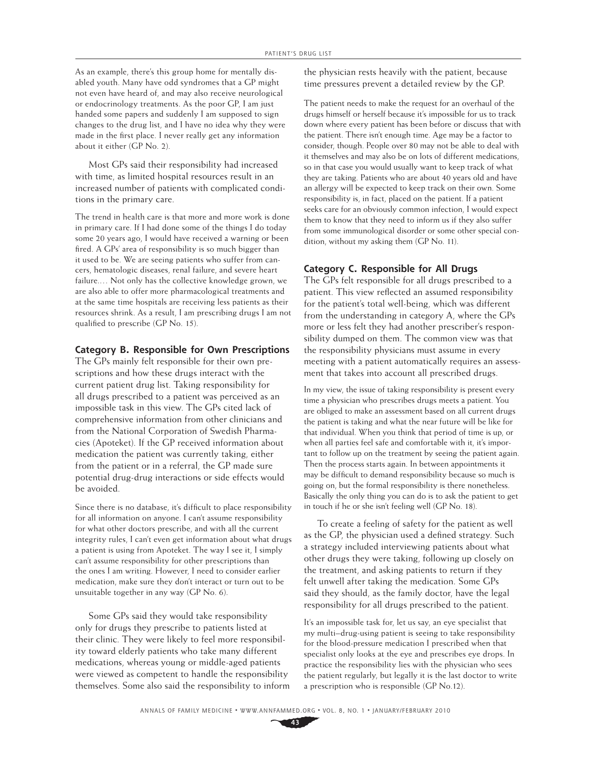As an example, there's this group home for mentally disabled youth. Many have odd syndromes that a GP might not even have heard of, and may also receive neurological or endocrinology treatments. As the poor GP, I am just handed some papers and suddenly I am supposed to sign changes to the drug list, and I have no idea why they were made in the first place. I never really get any information about it either (GP No. 2).

Most GPs said their responsibility had increased with time, as limited hospital resources result in an increased number of patients with complicated conditions in the primary care.

The trend in health care is that more and more work is done in primary care. If I had done some of the things I do today some 20 years ago, I would have received a warning or been fired. A GPs' area of responsibility is so much bigger than it used to be. We are seeing patients who suffer from cancers, hematologic diseases, renal failure, and severe heart failure.… Not only has the collective knowledge grown, we are also able to offer more pharmacological treatments and at the same time hospitals are receiving less patients as their resources shrink. As a result, I am prescribing drugs I am not qualified to prescribe (GP No. 15).

### **Category B. Responsible for Own Prescriptions**

The GPs mainly felt responsible for their own prescriptions and how these drugs interact with the current patient drug list. Taking responsibility for all drugs prescribed to a patient was perceived as an impossible task in this view. The GPs cited lack of comprehensive information from other clinicians and from the National Corporation of Swedish Pharmacies (Apoteket). If the GP received information about medication the patient was currently taking, either from the patient or in a referral, the GP made sure potential drug-drug interactions or side effects would be avoided.

Since there is no database, it's difficult to place responsibility for all information on anyone. I can't assume responsibility for what other doctors prescribe, and with all the current integrity rules, I can't even get information about what drugs a patient is using from Apoteket. The way I see it, I simply can't assume responsibility for other prescriptions than the ones I am writing. However, I need to consider earlier medication, make sure they don't interact or turn out to be unsuitable together in any way (GP No. 6).

Some GPs said they would take responsibility only for drugs they prescribe to patients listed at their clinic. They were likely to feel more responsibility toward elderly patients who take many different medications, whereas young or middle-aged patients were viewed as competent to handle the responsibility themselves. Some also said the responsibility to inform the physician rests heavily with the patient, because time pressures prevent a detailed review by the GP.

The patient needs to make the request for an overhaul of the drugs himself or herself because it's impossible for us to track down where every patient has been before or discuss that with the patient. There isn't enough time. Age may be a factor to consider, though. People over 80 may not be able to deal with it themselves and may also be on lots of different medications, so in that case you would usually want to keep track of what they are taking. Patients who are about 40 years old and have an allergy will be expected to keep track on their own. Some responsibility is, in fact, placed on the patient. If a patient seeks care for an obviously common infection, I would expect them to know that they need to inform us if they also suffer from some immunological disorder or some other special condition, without my asking them (GP No. 11).

## **Category C. Responsible for All Drugs**

The GPs felt responsible for all drugs prescribed to a patient. This view reflected an assumed responsibility for the patient's total well-being, which was different from the understanding in category A, where the GPs more or less felt they had another prescriber's responsibility dumped on them. The common view was that the responsibility physicians must assume in every meeting with a patient automatically requires an assessment that takes into account all prescribed drugs.

In my view, the issue of taking responsibility is present every time a physician who prescribes drugs meets a patient. You are obliged to make an assessment based on all current drugs the patient is taking and what the near future will be like for that individual. When you think that period of time is up, or when all parties feel safe and comfortable with it, it's important to follow up on the treatment by seeing the patient again. Then the process starts again. In between appointments it may be difficult to demand responsibility because so much is going on, but the formal responsibility is there nonetheless. Basically the only thing you can do is to ask the patient to get in touch if he or she isn't feeling well (GP No. 18).

To create a feeling of safety for the patient as well as the GP, the physician used a defined strategy. Such a strategy included interviewing patients about what other drugs they were taking, following up closely on the treatment, and asking patients to return if they felt unwell after taking the medication. Some GPs said they should, as the family doctor, have the legal responsibility for all drugs prescribed to the patient.

It's an impossible task for, let us say, an eye specialist that my multi–drug-using patient is seeing to take responsibility for the blood-pressure medication I prescribed when that specialist only looks at the eye and prescribes eye drops. In practice the responsibility lies with the physician who sees the patient regularly, but legally it is the last doctor to write a prescription who is responsible (GP No.12).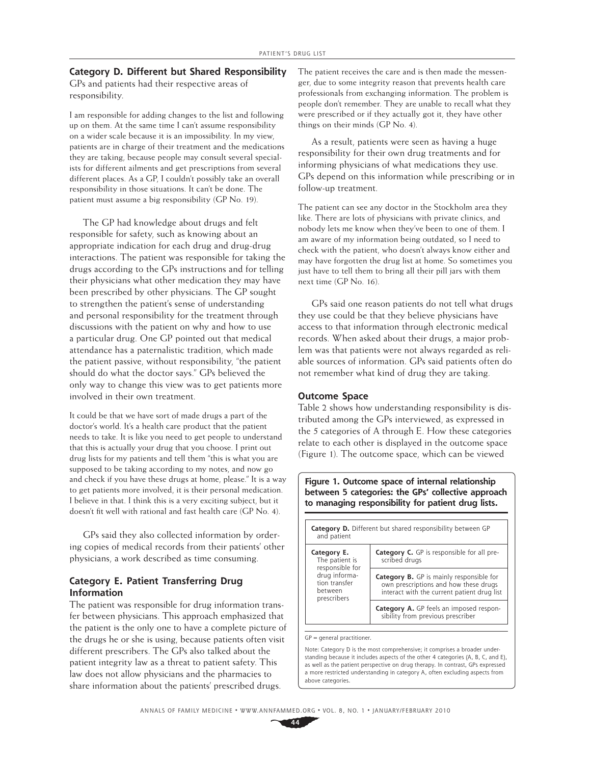## **Category D. Different but Shared Responsibility**

GPs and patients had their respective areas of responsibility.

I am responsible for adding changes to the list and following up on them. At the same time I can't assume responsibility on a wider scale because it is an impossibility. In my view, patients are in charge of their treatment and the medications they are taking, because people may consult several specialists for different ailments and get prescriptions from several different places. As a GP, I couldn't possibly take an overall responsibility in those situations. It can't be done. The patient must assume a big responsibility (GP No. 19).

The GP had knowledge about drugs and felt responsible for safety, such as knowing about an appropriate indication for each drug and drug-drug interactions. The patient was responsible for taking the drugs according to the GPs instructions and for telling their physicians what other medication they may have been prescribed by other physicians. The GP sought to strengthen the patient's sense of understanding and personal responsibility for the treatment through discussions with the patient on why and how to use a particular drug. One GP pointed out that medical attendance has a paternalistic tradition, which made the patient passive, without responsibility, "the patient should do what the doctor says." GPs believed the only way to change this view was to get patients more involved in their own treatment.

It could be that we have sort of made drugs a part of the doctor's world. It's a health care product that the patient needs to take. It is like you need to get people to understand that this is actually your drug that you choose. I print out drug lists for my patients and tell them "this is what you are supposed to be taking according to my notes, and now go and check if you have these drugs at home, please." It is a way to get patients more involved, it is their personal medication. I believe in that. I think this is a very exciting subject, but it doesn't fit well with rational and fast health care (GP No. 4).

GPs said they also collected information by ordering copies of medical records from their patients' other physicians, a work described as time consuming.

## **Category E. Patient Transferring Drug Information**

The patient was responsible for drug information transfer between physicians. This approach emphasized that the patient is the only one to have a complete picture of the drugs he or she is using, because patients often visit different prescribers. The GPs also talked about the patient integrity law as a threat to patient safety. This law does not allow physicians and the pharmacies to share information about the patients' prescribed drugs.

 The patient receives the care and is then made the messenger, due to some integrity reason that prevents health care professionals from exchanging information. The problem is people don't remember. They are unable to recall what they were prescribed or if they actually got it, they have other things on their minds (GP No. 4).

As a result, patients were seen as having a huge responsibility for their own drug treatments and for informing physicians of what medications they use. GPs depend on this information while prescribing or in follow-up treatment.

The patient can see any doctor in the Stockholm area they like. There are lots of physicians with private clinics, and nobody lets me know when they've been to one of them. I am aware of my information being outdated, so I need to check with the patient, who doesn't always know either and may have forgotten the drug list at home. So sometimes you just have to tell them to bring all their pill jars with them next time (GP No. 16).

GPs said one reason patients do not tell what drugs they use could be that they believe physicians have access to that information through electronic medical records. When asked about their drugs, a major problem was that patients were not always regarded as reliable sources of information. GPs said patients often do not remember what kind of drug they are taking.

## **Outcome Space**

Table 2 shows how understanding responsibility is distributed among the GPs interviewed, as expressed in the 5 categories of A through E. How these categories relate to each other is displayed in the outcome space (Figure 1). The outcome space, which can be viewed



GP = general practitioner.

prescribers

Note: Category D is the most comprehensive; it comprises a broader understanding because it includes aspects of the other 4 categories (A, B, C, and E), as well as the patient perspective on drug therapy. In contrast, GPs expressed a more restricted understanding in category A, often excluding aspects from above categories.

**Category A.** GP feels an imposed responsibility from previous prescriber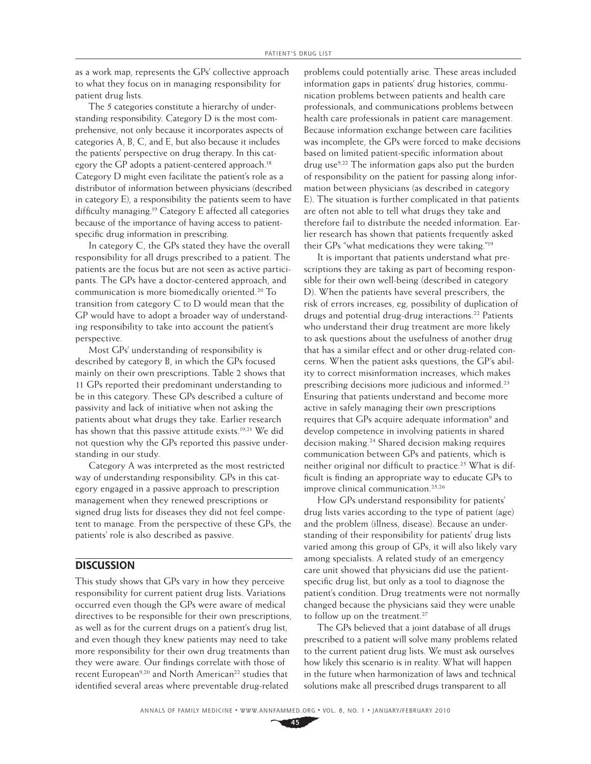as a work map, represents the GPs' collective approach to what they focus on in managing responsibility for patient drug lists.

The 5 categories constitute a hierarchy of understanding responsibility. Category D is the most comprehensive, not only because it incorporates aspects of categories A, B, C, and E, but also because it includes the patients' perspective on drug therapy. In this category the GP adopts a patient-centered approach.<sup>18</sup> Category D might even facilitate the patient's role as a distributor of information between physicians (described in category E), a responsibility the patients seem to have difficulty managing.<sup>19</sup> Category E affected all categories because of the importance of having access to patientspecific drug information in prescribing.

In category C, the GPs stated they have the overall responsibility for all drugs prescribed to a patient. The patients are the focus but are not seen as active participants. The GPs have a doctor-centered approach, and communication is more biomedically oriented.20 To transition from category C to D would mean that the GP would have to adopt a broader way of understanding responsibility to take into account the patient's perspective.

Most GPs' understanding of responsibility is described by category B, in which the GPs focused mainly on their own prescriptions. Table 2 shows that 11 GPs reported their predominant understanding to be in this category. These GPs described a culture of passivity and lack of initiative when not asking the patients about what drugs they take. Earlier research has shown that this passive attitude exists.<sup>19,21</sup> We did not question why the GPs reported this passive understanding in our study.

Category A was interpreted as the most restricted way of understanding responsibility. GPs in this category engaged in a passive approach to prescription management when they renewed prescriptions or signed drug lists for diseases they did not feel competent to manage. From the perspective of these GPs, the patients' role is also described as passive.

## **DISCUSSION**

This study shows that GPs vary in how they perceive responsibility for current patient drug lists. Variations occurred even though the GPs were aware of medical directives to be responsible for their own prescriptions, as well as for the current drugs on a patient's drug list, and even though they knew patients may need to take more responsibility for their own drug treatments than they were aware. Our findings correlate with those of recent European<sup>9,20</sup> and North American<sup>22</sup> studies that identified several areas where preventable drug-related

problems could potentially arise. These areas included information gaps in patients' drug histories, communication problems between patients and health care professionals, and communications problems between health care professionals in patient care management. Because information exchange between care facilities was incomplete, the GPs were forced to make decisions based on limited patient-specific information about drug use<sup>9,22</sup> The information gaps also put the burden of responsibility on the patient for passing along information between physicians (as described in category E). The situation is further complicated in that patients are often not able to tell what drugs they take and therefore fail to distribute the needed information. Earlier research has shown that patients frequently asked their GPs "what medications they were taking."19

It is important that patients understand what prescriptions they are taking as part of becoming responsible for their own well-being (described in category D). When the patients have several prescribers, the risk of errors increases, eg, possibility of duplication of drugs and potential drug-drug interactions.<sup>22</sup> Patients who understand their drug treatment are more likely to ask questions about the usefulness of another drug that has a similar effect and or other drug-related concerns. When the patient asks questions, the GP's ability to correct misinformation increases, which makes prescribing decisions more judicious and informed.23 Ensuring that patients understand and become more active in safely managing their own prescriptions requires that GPs acquire adequate information<sup>9</sup> and develop competence in involving patients in shared decision making.24 Shared decision making requires communication between GPs and patients, which is neither original nor difficult to practice.<sup>25</sup> What is difficult is finding an appropriate way to educate GPs to improve clinical communication.25,26

How GPs understand responsibility for patients' drug lists varies according to the type of patient (age) and the problem (illness, disease). Because an understanding of their responsibility for patients' drug lists varied among this group of GPs, it will also likely vary among specialists. A related study of an emergency care unit showed that physicians did use the patientspecific drug list, but only as a tool to diagnose the patient's condition. Drug treatments were not normally changed because the physicians said they were unable to follow up on the treatment.<sup>27</sup>

The GPs believed that a joint database of all drugs prescribed to a patient will solve many problems related to the current patient drug lists. We must ask ourselves how likely this scenario is in reality. What will happen in the future when harmonization of laws and technical solutions make all prescribed drugs transparent to all